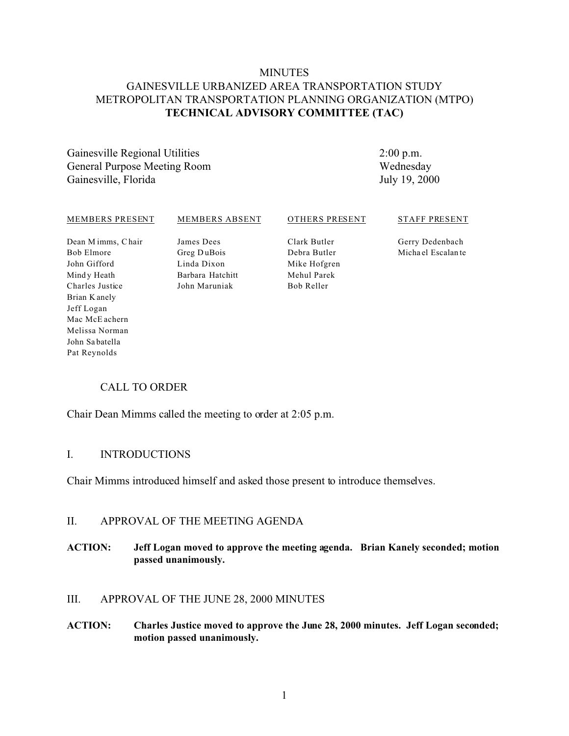# **MINUTES** GAINESVILLE URBANIZED AREA TRANSPORTATION STUDY METROPOLITAN TRANSPORTATION PLANNING ORGANIZATION (MTPO) **TECHNICAL ADVISORY COMMITTEE (TAC)**

Gainesville Regional Utilities General Purpose Meeting Room Gainesville, Florida

2:00 p.m. Wednesday July 19, 2000

#### MEMBERS PRESENT Dean M imms, C hair Bob Elmore John Gifford Mind y Heath Charles Justice Brian K anely Jeff Logan MEMBERS ABSENT James Dees Greg D uBois Linda Dixon Barbara Hatchitt John Maruniak OTHERS PRESENT Clark Butler Debra Butler Mike Hofgren Mehul Parek Bob Reller STAFF PRESENT Gerry Dedenbach Micha el Escalan te

# CALL TO ORDER

Chair Dean Mimms called the meeting to order at 2:05 p.m.

#### I. INTRODUCTIONS

Mac McE achern Melissa Norman John Sa batella Pat Reynolds

Chair Mimms introduced himself and asked those present to introduce themselves.

# II. APPROVAL OF THE MEETING AGENDA

# **ACTION: Jeff Logan moved to approve the meeting agenda. Brian Kanely seconded; motion passed unanimously.**

# III. APPROVAL OF THE JUNE 28, 2000 MINUTES

**ACTION: Charles Justice moved to approve the June 28, 2000 minutes. Jeff Logan seconded; motion passed unanimously.**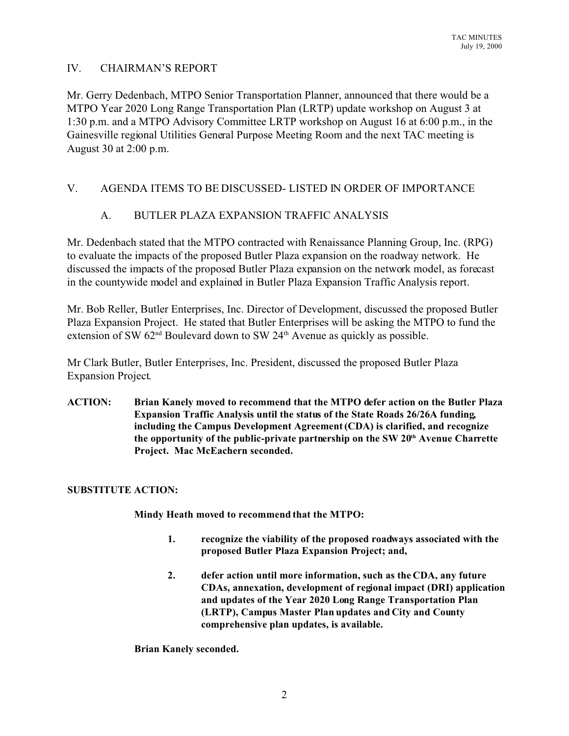# IV. CHAIRMAN'S REPORT

Mr. Gerry Dedenbach, MTPO Senior Transportation Planner, announced that there would be a MTPO Year 2020 Long Range Transportation Plan (LRTP) update workshop on August 3 at 1:30 p.m. and a MTPO Advisory Committee LRTP workshop on August 16 at 6:00 p.m., in the Gainesville regional Utilities General Purpose Meeting Room and the next TAC meeting is August 30 at 2:00 p.m.

# V. AGENDA ITEMS TO BE DISCUSSED- LISTED IN ORDER OF IMPORTANCE

# A. BUTLER PLAZA EXPANSION TRAFFIC ANALYSIS

Mr. Dedenbach stated that the MTPO contracted with Renaissance Planning Group, Inc. (RPG) to evaluate the impacts of the proposed Butler Plaza expansion on the roadway network. He discussed the impacts of the proposed Butler Plaza expansion on the network model, as forecast in the countywide model and explained in Butler Plaza Expansion Traffic Analysis report.

Mr. Bob Reller, Butler Enterprises, Inc. Director of Development, discussed the proposed Butler Plaza Expansion Project. He stated that Butler Enterprises will be asking the MTPO to fund the extension of SW  $62<sup>nd</sup>$  Boulevard down to SW  $24<sup>th</sup>$  Avenue as quickly as possible.

Mr Clark Butler, Butler Enterprises, Inc. President, discussed the proposed Butler Plaza Expansion Project.

**ACTION: Brian Kanely moved to recommend that the MTPO defer action on the Butler Plaza Expansion Traffic Analysis until the status of the State Roads 26/26A funding, including the Campus Development Agreement (CDA) is clarified, and recognize the opportunity of the public-private partnership on the SW 20th Avenue Charrette Project. Mac McEachern seconded.**

#### **SUBSTITUTE ACTION:**

**Mindy Heath moved to recommend that the MTPO:**

- **1. recognize the viability of the proposed roadways associated with the proposed Butler Plaza Expansion Project; and,**
- **2. defer action until more information, such as the CDA, any future CDAs, annexation, development of regional impact (DRI) application and updates of the Year 2020 Long Range Transportation Plan (LRTP), Campus Master Plan updates and City and County comprehensive plan updates, is available.**

#### **Brian Kanely seconded.**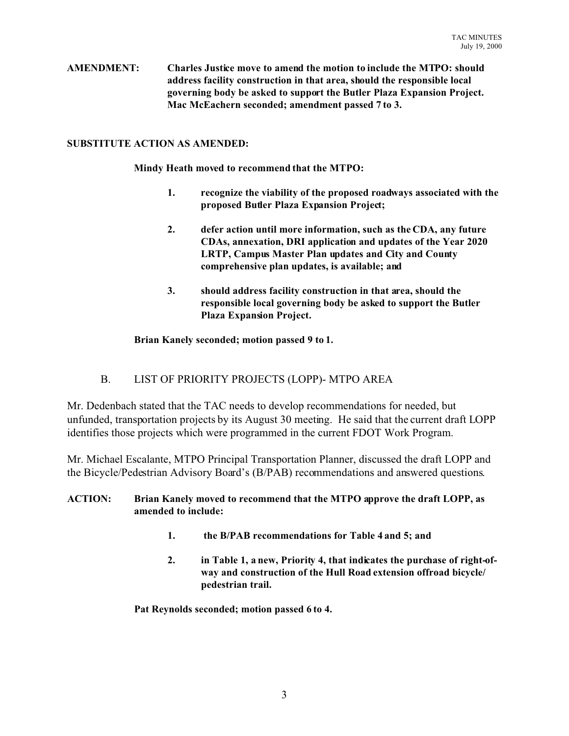**AMENDMENT: Charles Justice move to amend the motion to include the MTPO: should address facility construction in that area, should the responsible local governing body be asked to support the Butler Plaza Expansion Project. Mac McEachern seconded; amendment passed 7 to 3.**

### **SUBSTITUTE ACTION AS AMENDED:**

**Mindy Heath moved to recommend that the MTPO:**

- **1. recognize the viability of the proposed roadways associated with the proposed Butler Plaza Expansion Project;**
- **2. defer action until more information, such as the CDA, any future CDAs, annexation, DRI application and updates of the Year 2020 LRTP, Campus Master Plan updates and City and County comprehensive plan updates, is available; and**
- **3. should address facility construction in that area, should the responsible local governing body be asked to support the Butler Plaza Expansion Project.**

#### **Brian Kanely seconded; motion passed 9 to 1.**

# B. LIST OF PRIORITY PROJECTS (LOPP)- MTPO AREA

Mr. Dedenbach stated that the TAC needs to develop recommendations for needed, but unfunded, transportation projects by its August 30 meeting. He said that the current draft LOPP identifies those projects which were programmed in the current FDOT Work Program.

Mr. Michael Escalante, MTPO Principal Transportation Planner, discussed the draft LOPP and the Bicycle/Pedestrian Advisory Board's (B/PAB) recommendations and answered questions.

#### **ACTION: Brian Kanely moved to recommend that the MTPO approve the draft LOPP, as amended to include:**

- **1. the B/PAB recommendations for Table 4 and 5; and**
- **2. in Table 1, a new, Priority 4, that indicates the purchase of right-ofway and construction of the Hull Road extension offroad bicycle/ pedestrian trail.**

**Pat Reynolds seconded; motion passed 6 to 4.**